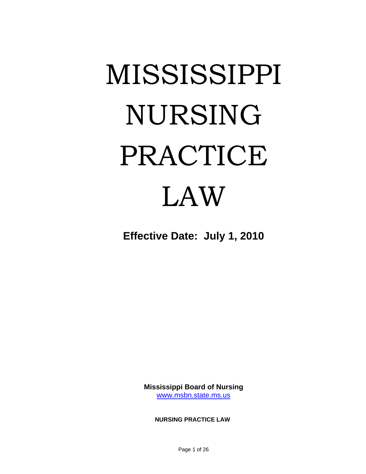# MISSISSIPPI NURSING PRACTICE LAW

**Effective Date: July 1, 2010** 

**Mississippi Board of Nursing**  [www.msbn.state.ms.us](http://www.msbn.state.ms.us/)

**NURSING PRACTICE LAW**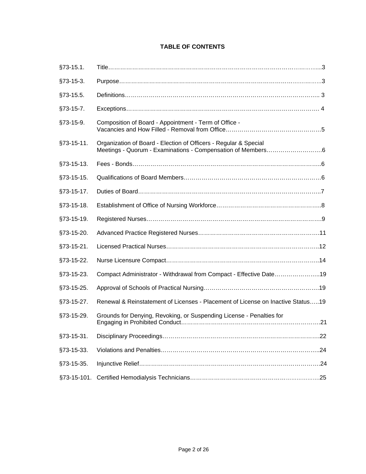# **TABLE OF CONTENTS**

| §73-15.1.   |                                                                                 |
|-------------|---------------------------------------------------------------------------------|
| $§73-15-3.$ |                                                                                 |
| §73-15.5.   |                                                                                 |
| §73-15-7.   |                                                                                 |
| §73-15-9.   | Composition of Board - Appointment - Term of Office -                           |
| §73-15-11.  | Organization of Board - Election of Officers - Regular & Special                |
| §73-15-13.  |                                                                                 |
| §73-15-15.  |                                                                                 |
| §73-15-17.  |                                                                                 |
| §73-15-18.  |                                                                                 |
| §73-15-19.  |                                                                                 |
| §73-15-20.  |                                                                                 |
| §73-15-21.  |                                                                                 |
| §73-15-22.  |                                                                                 |
| §73-15-23.  | Compact Administrator - Withdrawal from Compact - Effective Date19              |
| §73-15-25.  |                                                                                 |
| §73-15-27.  | Renewal & Reinstatement of Licenses - Placement of License on Inactive Status19 |
| §73-15-29.  | Grounds for Denying, Revoking, or Suspending License - Penalties for            |
| §73-15-31.  |                                                                                 |
| §73-15-33.  |                                                                                 |
| §73-15-35.  |                                                                                 |
| §73-15-101. |                                                                                 |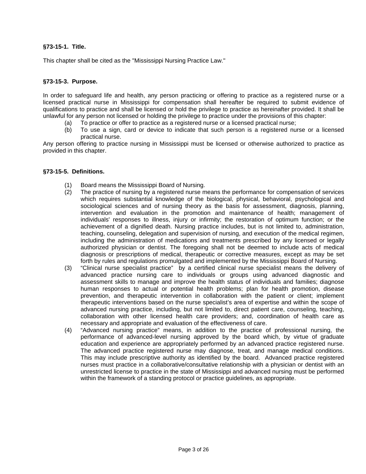# **§73-15-1. Title.**

This chapter shall be cited as the "Mississippi Nursing Practice Law."

### **§73-15-3. Purpose.**

In order to safeguard life and health, any person practicing or offering to practice as a registered nurse or a licensed practical nurse in Mississippi for compensation shall hereafter be required to submit evidence of qualifications to practice and shall be licensed or hold the privilege to practice as hereinafter provided. It shall be unlawful for any person not licensed or holding the privilege to practice under the provisions of this chapter:

- (a) To practice or offer to practice as a registered nurse or a licensed practical nurse;
- (b) To use a sign, card or device to indicate that such person is a registered nurse or a licensed practical nurse.

Any person offering to practice nursing in Mississippi must be licensed or otherwise authorized to practice as provided in this chapter.

### **§73-15-5. Definitions.**

- (1) Board means the Mississippi Board of Nursing.
- (2) The practice of nursing by a registered nurse means the performance for compensation of services which requires substantial knowledge of the biological, physical, behavioral, psychological and sociological sciences and of nursing theory as the basis for assessment, diagnosis, planning, intervention and evaluation in the promotion and maintenance of health; management of individuals' responses to illness, injury or infirmity; the restoration of optimum function; or the achievement of a dignified death. Nursing practice includes, but is not limited to, administration, teaching, counseling, delegation and supervision of nursing, and execution of the medical regimen, including the administration of medications and treatments prescribed by any licensed or legally authorized physician or dentist. The foregoing shall not be deemed to include acts of medical diagnosis or prescriptions of medical, therapeutic or corrective measures, except as may be set forth by rules and regulations promulgated and implemented by the Mississippi Board of Nursing.
- (3) "Clinical nurse specialist practice" by a certified clinical nurse specialist means the delivery of advanced practice nursing care to individuals or groups using advanced diagnostic and assessment skills to manage and improve the health status of individuals and families; diagnose human responses to actual or potential health problems; plan for health promotion, disease prevention, and therapeutic intervention in collaboration with the patient or client; implement therapeutic interventions based on the nurse specialist's area of expertise and within the scope of advanced nursing practice, including, but not limited to, direct patient care, counseling, teaching, collaboration with other licensed health care providers; and, coordination of health care as necessary and appropriate and evaluation of the effectiveness of care.
- (4) "Advanced nursing practice" means, in addition to the practice of professional nursing, the performance of advanced-level nursing approved by the board which, by virtue of graduate education and experience are appropriately performed by an advanced practice registered nurse. The advanced practice registered nurse may diagnose, treat, and manage medical conditions. This may include prescriptive authority as identified by the board. Advanced practice registered nurses must practice in a collaborative/consultative relationship with a physician or dentist with an unrestricted license to practice in the state of Mississippi and advanced nursing must be performed within the framework of a standing protocol or practice guidelines, as appropriate.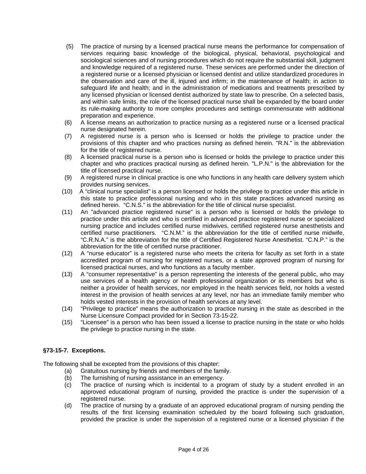- (5) The practice of nursing by a licensed practical nurse means the performance for compensation of services requiring basic knowledge of the biological, physical, behavioral, psychological and sociological sciences and of nursing procedures which do not require the substantial skill, judgment and knowledge required of a registered nurse. These services are performed under the direction of a registered nurse or a licensed physician or licensed dentist and utilize standardized procedures in the observation and care of the ill, injured and infirm; in the maintenance of health; in action to safeguard life and health; and in the administration of medications and treatments prescribed by any licensed physician or licensed dentist authorized by state law to prescribe. On a selected basis, and within safe limits, the role of the licensed practical nurse shall be expanded by the board under its rule-making authority to more complex procedures and settings commensurate with additional preparation and experience.
- (6) A license means an authorization to practice nursing as a registered nurse or a licensed practical nurse designated herein.
- (7) A registered nurse is a person who is licensed or holds the privilege to practice under the provisions of this chapter and who practices nursing as defined herein. "R.N." is the abbreviation for the title of registered nurse.
- (8) A licensed practical nurse is a person who is licensed or holds the privilege to practice under this chapter and who practices practical nursing as defined herein. "L.P.N." is the abbreviation for the title of licensed practical nurse.
- (9) A registered nurse in clinical practice is one who functions in any health care delivery system which provides nursing services.
- (10) A "clinical nurse specialist" is a person licensed or holds the privilege to practice under this article in this state to practice professional nursing and who in this state practices advanced nursing as defined herein. "C.N.S." is the abbreviation for the title of clinical nurse specialist.
- (11) An "advanced practice registered nurse" is a person who is licensed or holds the privilege to practice under this article and who is certified in advanced practice registered nurse or specialized nursing practice and includes certified nurse midwives, certified registered nurse anesthetists and certified nurse practitioners. "C.N.M." is the abbreviation for the title of certified nurse midwife, "C.R.N.A." is the abbreviation for the title of Certified Registered Nurse Anesthetist. "C.N.P." is the abbreviation for the title of certified nurse practitioner.
- (12) A "nurse educator" is a registered nurse who meets the criteria for faculty as set forth in a state accredited program of nursing for registered nurses, or a state approved program of nursing for licensed practical nurses, and who functions as a faculty member.
- (13) A "consumer representative" is a person representing the interests of the general public, who may use services of a health agency or health professional organization or its members but who is neither a provider of health services, nor employed in the health services field, nor holds a vested interest in the provision of health services at any level, nor has an immediate family member who holds vested interests in the provision of health services at any level.
- (14) "Privilege to practice" means the authorization to practice nursing in the state as described in the Nurse Licensure Compact provided for in Section 73-15-22.
- (15) "Licensee" is a person who has been issued a license to practice nursing in the state or who holds the privilege to practice nursing in the state.

# **§73-15-7. Exceptions.**

The following shall be excepted from the provisions of this chapter:

- (a) Gratuitous nursing by friends and members of the family.
- (b) The furnishing of nursing assistance in an emergency.
- (c) The practice of nursing which is incidental to a program of study by a student enrolled in an approved educational program of nursing, provided the practice is under the supervision of a registered nurse.
- (d) The practice of nursing by a graduate of an approved educational program of nursing pending the results of the first licensing examination scheduled by the board following such graduation, provided the practice is under the supervision of a registered nurse or a licensed physician if the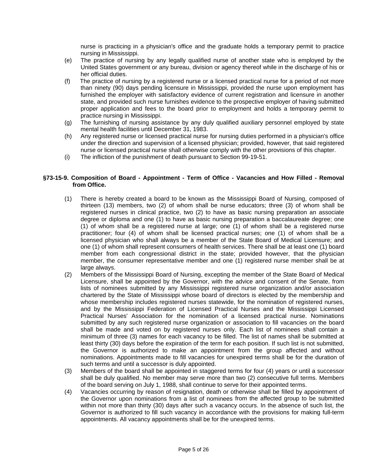nurse is practicing in a physician's office and the graduate holds a temporary permit to practice nursing in Mississippi.

- (e) The practice of nursing by any legally qualified nurse of another state who is employed by the United States government or any bureau, division or agency thereof while in the discharge of his or her official duties.
- (f) The practice of nursing by a registered nurse or a licensed practical nurse for a period of not more than ninety (90) days pending licensure in Mississippi, provided the nurse upon employment has furnished the employer with satisfactory evidence of current registration and licensure in another state, and provided such nurse furnishes evidence to the prospective employer of having submitted proper application and fees to the board prior to employment and holds a temporary permit to practice nursing in Mississippi.
- (g) The furnishing of nursing assistance by any duly qualified auxiliary personnel employed by state mental health facilities until December 31, 1983.
- (h) Any registered nurse or licensed practical nurse for nursing duties performed in a physician's office under the direction and supervision of a licensed physician; provided, however, that said registered nurse or licensed practical nurse shall otherwise comply with the other provisions of this chapter.
- (i) The infliction of the punishment of death pursuant to Section 99-19-51.

### **§73-15-9. Composition of Board - Appointment - Term of Office - Vacancies and How Filled - Removal from Office.**

- (1) There is hereby created a board to be known as the Mississippi Board of Nursing, composed of thirteen (13) members, two (2) of whom shall be nurse educators; three (3) of whom shall be registered nurses in clinical practice, two (2) to have as basic nursing preparation an associate degree or diploma and one (1) to have as basic nursing preparation a baccalaureate degree; one (1) of whom shall be a registered nurse at large; one (1) of whom shall be a registered nurse practitioner; four (4) of whom shall be licensed practical nurses; one (1) of whom shall be a licensed physician who shall always be a member of the State Board of Medical Licensure; and one (1) of whom shall represent consumers of health services. There shall be at least one (1) board member from each congressional district in the state; provided however, that the physician member, the consumer representative member and one (1) registered nurse member shall be at large always.
- (2) Members of the Mississippi Board of Nursing, excepting the member of the State Board of Medical Licensure, shall be appointed by the Governor, with the advice and consent of the Senate, from lists of nominees submitted by any Mississippi registered nurse organization and/or association chartered by the State of Mississippi whose board of directors is elected by the membership and whose membership includes registered nurses statewide, for the nomination of registered nurses, and by the Mississippi Federation of Licensed Practical Nurses and the Mississippi Licensed Practical Nurses' Association for the nomination of a licensed practical nurse. Nominations submitted by any such registered nurse organization or association to fill vacancies on the board shall be made and voted on by registered nurses only. Each list of nominees shall contain a minimum of three (3) names for each vacancy to be filled. The list of names shall be submitted at least thirty (30) days before the expiration of the term for each position. If such list is not submitted, the Governor is authorized to make an appointment from the group affected and without nominations. Appointments made to fill vacancies for unexpired terms shall be for the duration of such terms and until a successor is duly appointed.
- (3) Members of the board shall be appointed in staggered terms for four (4) years or until a successor shall be duly qualified. No member may serve more than two (2) consecutive full terms. Members of the board serving on July 1, 1988, shall continue to serve for their appointed terms.
- (4) Vacancies occurring by reason of resignation, death or otherwise shall be filled by appointment of the Governor upon nominations from a list of nominees from the affected group to be submitted within not more than thirty (30) days after such a vacancy occurs. In the absence of such list, the Governor is authorized to fill such vacancy in accordance with the provisions for making full-term appointments. All vacancy appointments shall be for the unexpired terms.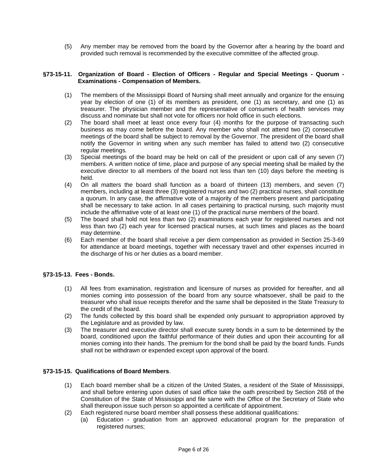(5) Any member may be removed from the board by the Governor after a hearing by the board and provided such removal is recommended by the executive committee of the affected group.

### **§73-15-11. Organization of Board - Election of Officers - Regular and Special Meetings - Quorum - Examinations - Compensation of Members.**

- (1) The members of the Mississippi Board of Nursing shall meet annually and organize for the ensuing year by election of one (1) of its members as president, one (1) as secretary, and one (1) as treasurer. The physician member and the representative of consumers of health services may discuss and nominate but shall not vote for officers nor hold office in such elections.
- (2) The board shall meet at least once every four (4) months for the purpose of transacting such business as may come before the board. Any member who shall not attend two (2) consecutive meetings of the board shall be subject to removal by the Governor. The president of the board shall notify the Governor in writing when any such member has failed to attend two (2) consecutive regular meetings.
- (3) Special meetings of the board may be held on call of the president or upon call of any seven (7) members. A written notice of time, place and purpose of any special meeting shall be mailed by the executive director to all members of the board not less than ten (10) days before the meeting is held.
- (4) On all matters the board shall function as a board of thirteen (13) members, and seven (7) members, including at least three (3) registered nurses and two (2) practical nurses, shall constitute a quorum. In any case, the affirmative vote of a majority of the members present and participating shall be necessary to take action. In all cases pertaining to practical nursing, such majority must include the affirmative vote of at least one (1) of the practical nurse members of the board.
- (5) The board shall hold not less than two (2) examinations each year for registered nurses and not less than two (2) each year for licensed practical nurses, at such times and places as the board may determine.
- (6) Each member of the board shall receive a per diem compensation as provided in Section 25-3-69 for attendance at board meetings, together with necessary travel and other expenses incurred in the discharge of his or her duties as a board member.

# **§73-15-13. Fees - Bonds.**

- (1) All fees from examination, registration and licensure of nurses as provided for hereafter, and all monies coming into possession of the board from any source whatsoever, shall be paid to the treasurer who shall issue receipts therefor and the same shall be deposited in the State Treasury to the credit of the board.
- (2) The funds collected by this board shall be expended only pursuant to appropriation approved by the Legislature and as provided by law.
- (3) The treasurer and executive director shall execute surety bonds in a sum to be determined by the board, conditioned upon the faithful performance of their duties and upon their accounting for all monies coming into their hands. The premium for the bond shall be paid by the board funds. Funds shall not be withdrawn or expended except upon approval of the board.

### **§73-15-15. Qualifications of Board Members**.

- (1) Each board member shall be a citizen of the United States, a resident of the State of Mississippi, and shall before entering upon duties of said office take the oath prescribed by Section 268 of the Constitution of the State of Mississippi and file same with the Office of the Secretary of State who shall thereupon issue such person so appointed a certificate of appointment.
- (2) Each registered nurse board member shall possess these additional qualifications:
	- (a) Education graduation from an approved educational program for the preparation of registered nurses;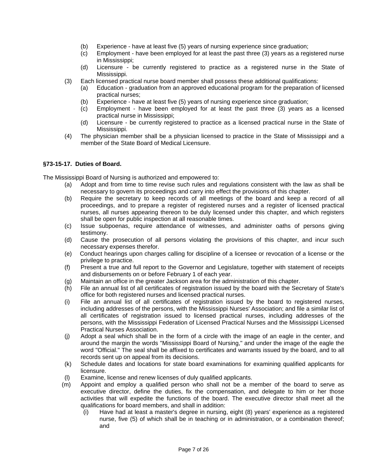- (b) Experience have at least five (5) years of nursing experience since graduation;
- (c) Employment have been employed for at least the past three (3) years as a registered nurse in Mississippi;
- (d) Licensure be currently registered to practice as a registered nurse in the State of Mississippi.
- (3) Each licensed practical nurse board member shall possess these additional qualifications:
	- (a) Education graduation from an approved educational program for the preparation of licensed practical nurses;
	- (b) Experience have at least five (5) years of nursing experience since graduation;
	- (c) Employment have been employed for at least the past three (3) years as a licensed practical nurse in Mississippi;
	- (d) Licensure be currently registered to practice as a licensed practical nurse in the State of Mississippi.
- (4) The physician member shall be a physician licensed to practice in the State of Mississippi and a member of the State Board of Medical Licensure.

### **§73-15-17. Duties of Board.**

The Mississippi Board of Nursing is authorized and empowered to:

- (a) Adopt and from time to time revise such rules and regulations consistent with the law as shall be necessary to govern its proceedings and carry into effect the provisions of this chapter.
- (b) Require the secretary to keep records of all meetings of the board and keep a record of all proceedings, and to prepare a register of registered nurses and a register of licensed practical nurses, all nurses appearing thereon to be duly licensed under this chapter, and which registers shall be open for public inspection at all reasonable times.
- (c) Issue subpoenas, require attendance of witnesses, and administer oaths of persons giving testimony.
- (d) Cause the prosecution of all persons violating the provisions of this chapter, and incur such necessary expenses therefor.
- (e) Conduct hearings upon charges calling for discipline of a licensee or revocation of a license or the privilege to practice.
- (f) Present a true and full report to the Governor and Legislature, together with statement of receipts and disbursements on or before February 1 of each year.
- (g) Maintain an office in the greater Jackson area for the administration of this chapter.
- (h) File an annual list of all certificates of registration issued by the board with the Secretary of State's office for both registered nurses and licensed practical nurses.
- (i) File an annual list of all certificates of registration issued by the board to registered nurses, including addresses of the persons, with the Mississippi Nurses' Association; and file a similar list of all certificates of registration issued to licensed practical nurses, including addresses of the persons, with the Mississippi Federation of Licensed Practical Nurses and the Mississippi Licensed Practical Nurses Association.
- (j) Adopt a seal which shall be in the form of a circle with the image of an eagle in the center, and around the margin the words "Mississippi Board of Nursing," and under the image of the eagle the word "Official." The seal shall be affixed to certificates and warrants issued by the board, and to all records sent up on appeal from its decisions.
- (k) Schedule dates and locations for state board examinations for examining qualified applicants for licensure.
- (l) Examine, license and renew licenses of duly qualified applicants.
- (m) Appoint and employ a qualified person who shall not be a member of the board to serve as executive director, define the duties, fix the compensation, and delegate to him or her those activities that will expedite the functions of the board. The executive director shall meet all the qualifications for board members, and shall in addition:
	- (i) Have had at least a master's degree in nursing, eight (8) years' experience as a registered nurse, five (5) of which shall be in teaching or in administration, or a combination thereof; and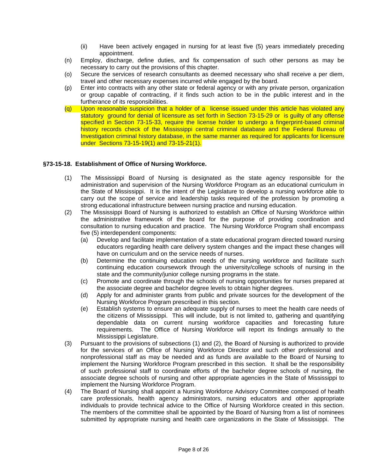- (ii) Have been actively engaged in nursing for at least five (5) years immediately preceding appointment.
- (n) Employ, discharge, define duties, and fix compensation of such other persons as may be necessary to carry out the provisions of this chapter.
- (o) Secure the services of research consultants as deemed necessary who shall receive a per diem, travel and other necessary expenses incurred while engaged by the board.
- (p) Enter into contracts with any other state or federal agency or with any private person, organization or group capable of contracting, if it finds such action to be in the public interest and in the furtherance of its responsibilities.
- (q) Upon reasonable suspicion that a holder of a license issued under this article has violated any statutory ground for denial of licensure as set forth in Section 73-15-29 or is guilty of any offense specified in Section 73-15-33, require the license holder to undergo a fingerprint-based criminal history records check of the Mississippi central criminal database and the Federal Bureau of Investigation criminal history database, in the same manner as required for applicants for licensure under Sections 73-15-19(1) and 73-15-21(1).

### **§73-15-18. Establishment of Office of Nursing Workforce.**

- (1) The Mississippi Board of Nursing is designated as the state agency responsible for the administration and supervision of the Nursing Workforce Program as an educational curriculum in the State of Mississippi. It is the intent of the Legislature to develop a nursing workforce able to carry out the scope of service and leadership tasks required of the profession by promoting a strong educational infrastructure between nursing practice and nursing education.
- (2) The Mississippi Board of Nursing is authorized to establish an Office of Nursing Workforce within the administrative framework of the board for the purpose of providing coordination and consultation to nursing education and practice. The Nursing Workforce Program shall encompass five (5) interdependent components:
	- (a) Develop and facilitate implementation of a state educational program directed toward nursing educators regarding health care delivery system changes and the impact these changes will have on curriculum and on the service needs of nurses.
	- (b) Determine the continuing education needs of the nursing workforce and facilitate such continuing education coursework through the university/college schools of nursing in the state and the community/junior college nursing programs in the state.
	- (c) Promote and coordinate through the schools of nursing opportunities for nurses prepared at the associate degree and bachelor degree levels to obtain higher degrees.
	- (d) Apply for and administer grants from public and private sources for the development of the Nursing Workforce Program prescribed in this section.
	- (e) Establish systems to ensure an adequate supply of nurses to meet the health care needs of the citizens of Mississippi. This will include, but is not limited to, gathering and quantifying dependable data on current nursing workforce capacities and forecasting future requirements. The Office of Nursing Workforce will report its findings annually to the Mississippi Legislature.
- (3) Pursuant to the provisions of subsections (1) and (2), the Board of Nursing is authorized to provide for the services of an Office of Nursing Workforce Director and such other professional and nonprofessional staff as may be needed and as funds are available to the Board of Nursing to implement the Nursing Workforce Program prescribed in this section. It shall be the responsibility of such professional staff to coordinate efforts of the bachelor degree schools of nursing, the associate degree schools of nursing and other appropriate agencies in the State of Mississippi to implement the Nursing Workforce Program.
- (4) The Board of Nursing shall appoint a Nursing Workforce Advisory Committee composed of health care professionals, health agency administrators, nursing educators and other appropriate individuals to provide technical advice to the Office of Nursing Workforce created in this section. The members of the committee shall be appointed by the Board of Nursing from a list of nominees submitted by appropriate nursing and health care organizations in the State of Mississippi. The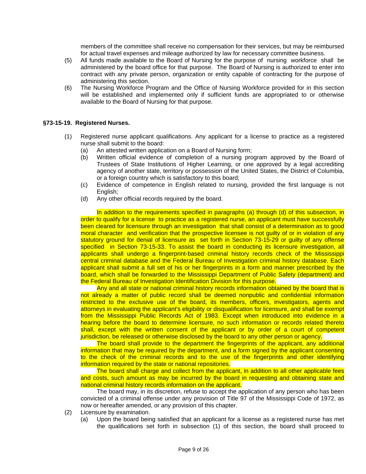members of the committee shall receive no compensation for their services, but may be reimbursed for actual travel expenses and mileage authorized by law for necessary committee business.

- (5) All funds made available to the Board of Nursing for the purpose of nursing workforce shall be administered by the board office for that purpose. The Board of Nursing is authorized to enter into contract with any private person, organization or entity capable of contracting for the purpose of administering this section.
- (6) The Nursing Workforce Program and the Office of Nursing Workforce provided for in this section will be established and implemented only if sufficient funds are appropriated to or otherwise available to the Board of Nursing for that purpose.

### **§73-15-19. Registered Nurses.**

- (1) Registered nurse applicant qualifications. Any applicant for a license to practice as a registered nurse shall submit to the board:
	- (a) An attested written application on a Board of Nursing form;
	- (b) Written official evidence of completion of a nursing program approved by the Board of Trustees of State Institutions of Higher Learning, or one approved by a legal accrediting agency of another state, territory or possession of the United States, the District of Columbia, or a foreign country which is satisfactory to this board;
	- (c) Evidence of competence in English related to nursing, provided the first language is not English;
	- (d) Any other official records required by the board.

In addition to the requirements specified in paragraphs (a) through (d) of this subsection, in order to qualify for a license to practice as a registered nurse, an applicant must have successfully been cleared for licensure through an investigation that shall consist of a determination as to good moral character and verification that the prospective licensee is not guilty of or in violation of any statutory ground for denial of licensure as set forth in Section 73-15-29 or guilty of any offense specified in Section 73-15-33. To assist the board in conducting its licensure investigation, all applicants shall undergo a fingerprint-based criminal history records check of the Mississippi central criminal database and the Federal Bureau of Investigation criminal history database. Each applicant shall submit a full set of his or her fingerprints in a form and manner prescribed by the board, which shall be forwarded to the Mississippi Department of Public Safety (department) and the Federal Bureau of Investigation Identification Division for this purpose.

Any and all state or national criminal history records information obtained by the board that is not already a matter of public record shall be deemed nonpublic and confidential information restricted to the exclusive use of the board, its members, officers, investigators, agents and attorneys in evaluating the applicant's eligibility or disqualification for licensure, and shall be exempt from the Mississippi Public Records Act of 1983. Except when introduced into evidence in a hearing before the board to determine licensure, no such information or records related thereto shall, except with the written consent of the applicant or by order of a court of competent jurisdiction, be released or otherwise disclosed by the board to any other person or agency.

The board shall provide to the department the fingerprints of the applicant, any additional information that may be required by the department, and a form signed by the applicant consenting to the check of the criminal records and to the use of the fingerprints and other identifying information required by the state or national repositories.

The board shall charge and collect from the applicant, in addition to all other applicable fees and costs, such amount as may be incurred by the board in requesting and obtaining state and national criminal history records information on the applicant.

The board may, in its discretion, refuse to accept the application of any person who has been convicted of a criminal offense under any provision of Title 97 of the Mississippi Code of 1972, as now or hereafter amended, or any provision of this chapter.

- (2) Licensure by examination.
	- (a) Upon the board being satisfied that an applicant for a license as a registered nurse has met the qualifications set forth in subsection (1) of this section, the board shall proceed to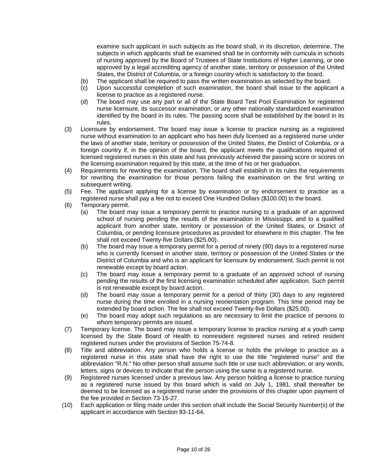examine such applicant in such subjects as the board shall, in its discretion, determine. The subjects in which applicants shall be examined shall be in conformity with curricula in schools of nursing approved by the Board of Trustees of State Institutions of Higher Learning, or one approved by a legal accrediting agency of another state, territory or possession of the United States, the District of Columbia, or a foreign country which is satisfactory to the board.

- (b) The applicant shall be required to pass the written examination as selected by the board.
- (c) Upon successful completion of such examination, the board shall issue to the applicant a license to practice as a registered nurse.
- (d) The board may use any part or all of the State Board Test Pool Examination for registered nurse licensure, its successor examination, or any other nationally standardized examination identified by the board in its rules. The passing score shall be established by the board in its rules.
- (3) Licensure by endorsement. The board may issue a license to practice nursing as a registered nurse without examination to an applicant who has been duly licensed as a registered nurse under the laws of another state, territory or possession of the United States, the District of Columbia, or a foreign country if, in the opinion of the board, the applicant meets the qualifications required of licensed registered nurses in this state and has previously achieved the passing score or scores on the licensing examination required by this state, at the time of his or her graduation.
- (4) Requirements for rewriting the examination. The board shall establish in its rules the requirements for rewriting the examination for those persons failing the examination on the first writing or subsequent writing.
- (5) Fee. The applicant applying for a license by examination or by endorsement to practice as a registered nurse shall pay a fee not to exceed One Hundred Dollars (\$100.00) to the board.
- (6) Temporary permit.
	- (a) The board may issue a temporary permit to practice nursing to a graduate of an approved school of nursing pending the results of the examination in Mississippi, and to a qualified applicant from another state, territory or possession of the United States, or District of Columbia, or pending licensure procedures as provided for elsewhere in this chapter. The fee shall not exceed Twenty-five Dollars (\$25.00).
	- (b) The board may issue a temporary permit for a period of ninety (90) days to a registered nurse who is currently licensed in another state, territory or possession of the United States or the District of Columbia and who is an applicant for licensure by endorsement. Such permit is not renewable except by board action.
	- (c) The board may issue a temporary permit to a graduate of an approved school of nursing pending the results of the first licensing examination scheduled after application. Such permit is not renewable except by board action.
	- (d) The board may issue a temporary permit for a period of thirty (30) days to any registered nurse during the time enrolled in a nursing reorientation program. This time period may be extended by board action. The fee shall not exceed Twenty-five Dollars (\$25.00).
	- (e) The board may adopt such regulations as are necessary to limit the practice of persons to whom temporary permits are issued.
- (7) Temporary license. The board may issue a temporary license to practice nursing at a youth camp licensed by the State Board of Health to nonresident registered nurses and retired resident registered nurses under the provisions of Section 75-74-8.
- (8) Title and abbreviation. Any person who holds a license or holds the privilege to practice as a registered nurse in this state shall have the right to use the title "registered nurse" and the abbreviation "R.N." No other person shall assume such title or use such abbreviation, or any words, letters, signs or devices to indicate that the person using the same is a registered nurse.
- (9) Registered nurses licensed under a previous law. Any person holding a license to practice nursing as a registered nurse issued by this board which is valid on July 1, 1981, shall thereafter be deemed to be licensed as a registered nurse under the provisions of this chapter upon payment of the fee provided in Section 73-15-27.
- (10) Each application or filing made under this section shall include the Social Security Number(s) of the applicant in accordance with Section 93-11-64.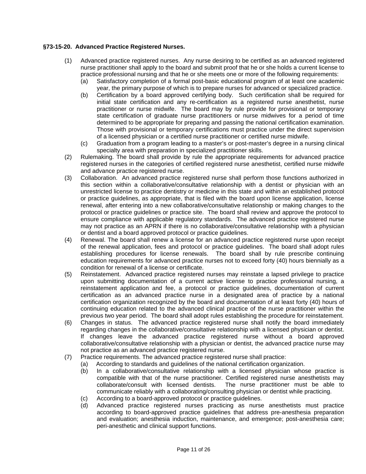### **§73-15-20. Advanced Practice Registered Nurses.**

- (1) Advanced practice registered nurses. Any nurse desiring to be certified as an advanced registered nurse practitioner shall apply to the board and submit proof that he or she holds a current license to practice professional nursing and that he or she meets one or more of the following requirements:
	- (a) Satisfactory completion of a formal post-basic educational program of at least one academic year, the primary purpose of which is to prepare nurses for advanced or specialized practice.
	- (b) Certification by a board approved certifying body. Such certification shall be required for initial state certification and any re-certification as a registered nurse anesthetist, nurse practitioner or nurse midwife. The board may by rule provide for provisional or temporary state certification of graduate nurse practitioners or nurse midwives for a period of time determined to be appropriate for preparing and passing the national certification examination. Those with provisional or temporary certifications must practice under the direct supervision of a licensed physician or a certified nurse practitioner or certified nurse midwife.
	- (c) Graduation from a program leading to a master's or post-master's degree in a nursing clinical specialty area with preparation in specialized practitioner skills.
- (2) Rulemaking. The board shall provide by rule the appropriate requirements for advanced practice registered nurses in the categories of certified registered nurse anesthetist, certified nurse midwife and advance practice registered nurse.
- (3) Collaboration. An advanced practice registered nurse shall perform those functions authorized in this section within a collaborative/consultative relationship with a dentist or physician with an unrestricted license to practice dentistry or medicine in this state and within an established protocol or practice guidelines, as appropriate, that is filed with the board upon license application, license renewal, after entering into a new collaborative/consultative relationship or making changes to the protocol or practice guidelines or practice site. The board shall review and approve the protocol to ensure compliance with applicable regulatory standards. The advanced practice registered nurse may not practice as an APRN if there is no collaborative/consultative relationship with a physician or dentist and a board approved protocol or practice guidelines.
- (4) Renewal. The board shall renew a license for an advanced practice registered nurse upon receipt of the renewal application, fees and protocol or practice guidelines. The board shall adopt rules establishing procedures for license renewals. The board shall by rule prescribe continuing education requirements for advanced practice nurses not to exceed forty (40) hours biennially as a condition for renewal of a license or certificate.
- (5) Reinstatement. Advanced practice registered nurses may reinstate a lapsed privilege to practice upon submitting documentation of a current active license to practice professional nursing, a reinstatement application and fee, a protocol or practice guidelines, documentation of current certification as an advanced practice nurse in a designated area of practice by a national certification organization recognized by the board and documentation of at least forty (40) hours of continuing education related to the advanced clinical practice of the nurse practitioner within the previous two year period. The board shall adopt rules establishing the procedure for reinstatement.
- (6) Changes in status. The advanced practice registered nurse shall notify the board immediately regarding changes in the collaborative/consultative relationship with a licensed physician or dentist. If changes leave the advanced practice registered nurse without a board approved collaborative/consultative relationship with a physician or dentist, the advanced practice nurse may not practice as an advanced practice registered nurse.
- (7) Practice requirements. The advanced practice registered nurse shall practice:
	- (a) According to standards and guidelines of the national certification organization.
	- (b) In a collaborative/consultative relationship with a licensed physician whose practice is compatible with that of the nurse practitioner. Certified registered nurse anesthetists may collaborate/consult with licensed dentists. The nurse practitioner must be able to communicate reliably with a collaborating/consulting physician or dentist while practicing.
	- (c) According to a board-approved protocol or practice guidelines.
	- (d) Advanced practice registered nurses practicing as nurse anesthetists must practice according to board-approved practice guidelines that address pre-anesthesia preparation and evaluation; anesthesia induction, maintenance, and emergence; post-anesthesia care; peri-anesthetic and clinical support functions.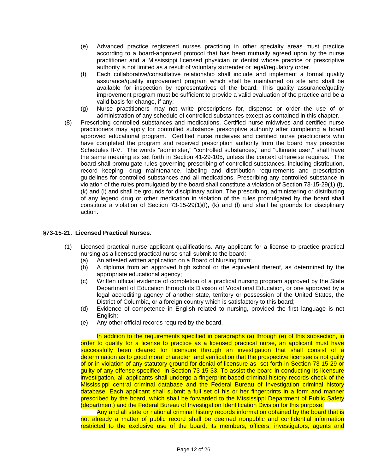- (e) Advanced practice registered nurses practicing in other specialty areas must practice according to a board-approved protocol that has been mutually agreed upon by the nurse practitioner and a Mississippi licensed physician or dentist whose practice or prescriptive authority is not limited as a result of voluntary surrender or legal/regulatory order.
- (f) Each collaborative/consultative relationship shall include and implement a formal quality assurance/quality improvement program which shall be maintained on site and shall be available for inspection by representatives of the board. This quality assurance/quality improvement program must be sufficient to provide a valid evaluation of the practice and be a valid basis for change, if any;
- (g) Nurse practitioners may not write prescriptions for, dispense or order the use of or administration of any schedule of controlled substances except as contained in this chapter.
- (8) Prescribing controlled substances and medications. Certified nurse midwives and certified nurse practitioners may apply for controlled substance prescriptive authority after completing a board approved educational program. Certified nurse midwives and certified nurse practitioners who have completed the program and received prescription authority from the board may prescribe Schedules II-V. The words "administer," "controlled substances," and "ultimate user," shall have the same meaning as set forth in Section 41-29-105, unless the context otherwise requires. The board shall promulgate rules governing prescribing of controlled substances, including distribution, record keeping, drug maintenance, labeling and distribution requirements and prescription guidelines for controlled substances and all medications. Prescribing any controlled substance in violation of the rules promulgated by the board shall constitute a violation of Section 73-15-29(1) (f), (k) and (l) and shall be grounds for disciplinary action. The prescribing, administering or distributing of any legend drug or other medication in violation of the rules promulgated by the board shall constitute a violation of Section 73-15-29(1)(f), (k) and (l) and shall be grounds for disciplinary action.

### **§73-15-21. Licensed Practical Nurses.**

- (1) Licensed practical nurse applicant qualifications. Any applicant for a license to practice practical nursing as a licensed practical nurse shall submit to the board:
	- (a) An attested written application on a Board of Nursing form;
	- (b) A diploma from an approved high school or the equivalent thereof, as determined by the appropriate educational agency;
	- (c) Written official evidence of completion of a practical nursing program approved by the State Department of Education through its Division of Vocational Education, or one approved by a legal accrediting agency of another state, territory or possession of the United States, the District of Columbia, or a foreign country which is satisfactory to this board;
	- (d) Evidence of competence in English related to nursing, provided the first language is not English;
	- (e) Any other official records required by the board.

In addition to the requirements specified in paragraphs (a) through (e) of this subsection, in order to qualify for a license to practice as a licensed practical nurse, an applicant must have successfully been cleared for licensure through an investigation that shall consist of a determination as to good moral character and verification that the prospective licensee is not quilty of or in violation of any statutory ground for denial of licensure as set forth in Section 73-15-29 or guilty of any offense specified in Section 73-15-33. To assist the board in conducting its licensure investigation, all applicants shall undergo a fingerprint-based criminal history records check of the Mississippi central criminal database and the Federal Bureau of Investigation criminal history database. Each applicant shall submit a full set of his or her fingerprints in a form and manner prescribed by the board, which shall be forwarded to the Mississippi Department of Public Safety (department) and the Federal Bureau of Investigation Identification Division for this purpose.

Any and all state or national criminal history records information obtained by the board that is not already a matter of public record shall be deemed nonpublic and confidential information restricted to the exclusive use of the board, its members, officers, investigators, agents and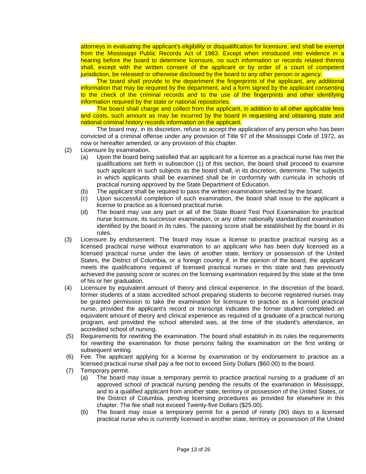attorneys in evaluating the applicant's eligibility or disqualification for licensure, and shall be exempt from the Mississippi Public Records Act of 1983. Except when introduced into evidence in a hearing before the board to determine licensure, no such information or records related thereto shall, except with the written consent of the applicant or by order of a court of competent jurisdiction, be released or otherwise disclosed by the board to any other person or agency.

The board shall provide to the department the fingerprints of the applicant, any additional information that may be required by the department, and a form signed by the applicant consenting to the check of the criminal records and to the use of the fingerprints and other identifying information required by the state or national repositories.

The board shall charge and collect from the applicant, in addition to all other applicable fees and costs, such amount as may be incurred by the board in requesting and obtaining state and national criminal history records information on the applicant.

The board may, in its discretion, refuse to accept the application of any person who has been convicted of a criminal offense under any provision of Title 97 of the Mississippi Code of 1972, as now or hereafter amended, or any provision of this chapter.

- (2) Licensure by examination.
	- (a) Upon the board being satisfied that an applicant for a license as a practical nurse has met the qualifications set forth in subsection (1) of this section, the board shall proceed to examine such applicant in such subjects as the board shall, in its discretion, determine. The subjects in which applicants shall be examined shall be in conformity with curricula in schools of practical nursing approved by the State Department of Education.
	- (b) The applicant shall be required to pass the written examination selected by the board.
	- (c) Upon successful completion of such examination, the board shall issue to the applicant a license to practice as a licensed practical nurse.
	- (d) The board may use any part or all of the State Board Test Pool Examination for practical nurse licensure, its successor examination, or any other nationally standardized examination identified by the board in its rules. The passing score shall be established by the board in its rules.
- (3) Licensure by endorsement. The board may issue a license to practice practical nursing as a licensed practical nurse without examination to an applicant who has been duly licensed as a licensed practical nurse under the laws of another state, territory or possession of the United States, the District of Columbia, or a foreign country if, in the opinion of the board, the applicant meets the qualifications required of licensed practical nurses in this state and has previously achieved the passing score or scores on the licensing examination required by this state at the time of his or her graduation.
- (4) Licensure by equivalent amount of theory and clinical experience. In the discretion of the board, former students of a state accredited school preparing students to become registered nurses may be granted permission to take the examination for licensure to practice as a licensed practical nurse, provided the applicant's record or transcript indicates the former student completed an equivalent amount of theory and clinical experience as required of a graduate of a practical nursing program, and provided the school attended was, at the time of the student's attendance, an accredited school of nursing.
- (5) Requirements for rewriting the examination. The board shall establish in its rules the requirements for rewriting the examination for those persons failing the examination on the first writing or subsequent writing.
- (6) Fee. The applicant applying for a license by examination or by endorsement to practice as a licensed practical nurse shall pay a fee not to exceed Sixty Dollars (\$60.00) to the board.
- (7) Temporary permit.
	- (a) The board may issue a temporary permit to practice practical nursing to a graduate of an approved school of practical nursing pending the results of the examination in Mississippi, and to a qualified applicant from another state, territory or possession of the United States, or the District of Columbia, pending licensing procedures as provided for elsewhere in this chapter. The fee shall not exceed Twenty-five Dollars (\$25.00).
	- (b) The board may issue a temporary permit for a period of ninety (90) days to a licensed practical nurse who is currently licensed in another state, territory or possession of the United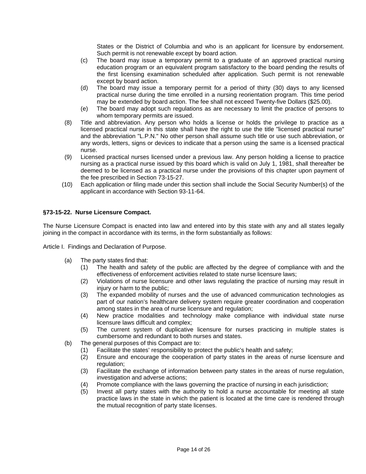States or the District of Columbia and who is an applicant for licensure by endorsement. Such permit is not renewable except by board action.

- (c) The board may issue a temporary permit to a graduate of an approved practical nursing education program or an equivalent program satisfactory to the board pending the results of the first licensing examination scheduled after application. Such permit is not renewable except by board action.
- (d) The board may issue a temporary permit for a period of thirty (30) days to any licensed practical nurse during the time enrolled in a nursing reorientation program. This time period may be extended by board action. The fee shall not exceed Twenty-five Dollars (\$25.00).
- (e) The board may adopt such regulations as are necessary to limit the practice of persons to whom temporary permits are issued.
- (8) Title and abbreviation. Any person who holds a license or holds the privilege to practice as a licensed practical nurse in this state shall have the right to use the title "licensed practical nurse" and the abbreviation "L.P.N." No other person shall assume such title or use such abbreviation, or any words, letters, signs or devices to indicate that a person using the same is a licensed practical nurse.
- (9) Licensed practical nurses licensed under a previous law. Any person holding a license to practice nursing as a practical nurse issued by this board which is valid on July 1, 1981, shall thereafter be deemed to be licensed as a practical nurse under the provisions of this chapter upon payment of the fee prescribed in Section 73-15-27.
- (10) Each application or filing made under this section shall include the Social Security Number(s) of the applicant in accordance with Section 93-11-64.

# **§73-15-22. Nurse Licensure Compact.**

The Nurse Licensure Compact is enacted into law and entered into by this state with any and all states legally joining in the compact in accordance with its terms, in the form substantially as follows:

Article I. Findings and Declaration of Purpose.

- (a) The party states find that:
	- (1) The health and safety of the public are affected by the degree of compliance with and the effectiveness of enforcement activities related to state nurse licensure laws;
	- (2) Violations of nurse licensure and other laws regulating the practice of nursing may result in injury or harm to the public;
	- (3) The expanded mobility of nurses and the use of advanced communication technologies as part of our nation's healthcare delivery system require greater coordination and cooperation among states in the area of nurse licensure and regulation;
	- (4) New practice modalities and technology make compliance with individual state nurse licensure laws difficult and complex;
	- (5) The current system of duplicative licensure for nurses practicing in multiple states is cumbersome and redundant to both nurses and states.
- (b) The general purposes of this Compact are to:
	- (1) Facilitate the states' responsibility to protect the public's health and safety;
	- (2) Ensure and encourage the cooperation of party states in the areas of nurse licensure and regulation;
	- (3) Facilitate the exchange of information between party states in the areas of nurse regulation, investigation and adverse actions;
	- (4) Promote compliance with the laws governing the practice of nursing in each jurisdiction;
	- (5) Invest all party states with the authority to hold a nurse accountable for meeting all state practice laws in the state in which the patient is located at the time care is rendered through the mutual recognition of party state licenses.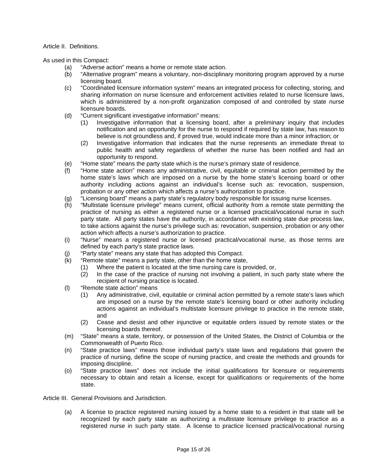### Article II. Definitions.

As used in this Compact:

- (a) "Adverse action" means a home or remote state action.
- (b) "Alternative program" means a voluntary, non-disciplinary monitoring program approved by a nurse licensing board.
- (c) "Coordinated licensure information system" means an integrated process for collecting, storing, and sharing information on nurse licensure and enforcement activities related to nurse licensure laws, which is administered by a non-profit organization composed of and controlled by state nurse licensure boards.
- (d) "Current significant investigative information" means:
	- (1) Investigative information that a licensing board, after a preliminary inquiry that includes notification and an opportunity for the nurse to respond if required by state law, has reason to believe is not groundless and, if proved true, would indicate more than a minor infraction; or
	- (2) Investigative information that indicates that the nurse represents an immediate threat to public health and safety regardless of whether the nurse has been notified and had an opportunity to respond.
- (e) "Home state" means the party state which is the nurse's primary state of residence.
- (f) "Home state action" means any administrative, civil, equitable or criminal action permitted by the home state's laws which are imposed on a nurse by the home state's licensing board or other authority including actions against an individual's license such as: revocation, suspension, probation or any other action which affects a nurse's authorization to practice.
- (g) "Licensing board" means a party state's regulatory body responsible for issuing nurse licenses.
- (h) "Multistate licensure privilege" means current, official authority from a remote state permitting the practice of nursing as either a registered nurse or a licensed practical/vocational nurse in such party state. All party states have the authority, in accordance with existing state due process law, to take actions against the nurse's privilege such as: revocation, suspension, probation or any other action which affects a nurse's authorization to practice.
- (i) "Nurse" means a registered nurse or licensed practical/vocational nurse, as those terms are defined by each party's state practice laws.
- (j) "Party state" means any state that has adopted this Compact.
- (k) "Remote state" means a party state, other than the home state,
	- (1) Where the patient is located at the time nursing care is provided, or,
	- (2) In the case of the practice of nursing not involving a patient, in such party state where the recipient of nursing practice is located.
- (l) "Remote state action" means
	- (1) Any administrative, civil, equitable or criminal action permitted by a remote state's laws which are imposed on a nurse by the remote state's licensing board or other authority including actions against an individual's multistate licensure privilege to practice in the remote state, and
	- (2) Cease and desist and other injunctive or equitable orders issued by remote states or the licensing boards thereof.
- (m) "State" means a state, territory, or possession of the United States, the District of Columbia or the Commonwealth of Puerto Rico.
- (n) "State practice laws" means those individual party's state laws and regulations that govern the practice of nursing, define the scope of nursing practice, and create the methods and grounds for imposing discipline.
- (o) "State practice laws" does not include the initial qualifications for licensure or requirements necessary to obtain and retain a license, except for qualifications or requirements of the home state.

Article III. General Provisions and Jurisdiction.

(a) A license to practice registered nursing issued by a home state to a resident in that state will be recognized by each party state as authorizing a multistate licensure privilege to practice as a registered nurse in such party state. A license to practice licensed practical/vocational nursing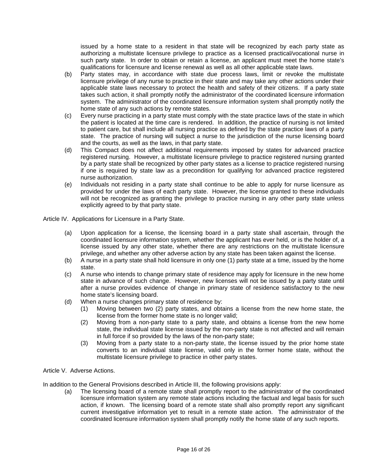issued by a home state to a resident in that state will be recognized by each party state as authorizing a multistate licensure privilege to practice as a licensed practical/vocational nurse in such party state. In order to obtain or retain a license, an applicant must meet the home state's qualifications for licensure and license renewal as well as all other applicable state laws.

- (b) Party states may, in accordance with state due process laws, limit or revoke the multistate licensure privilege of any nurse to practice in their state and may take any other actions under their applicable state laws necessary to protect the health and safety of their citizens. If a party state takes such action, it shall promptly notify the administrator of the coordinated licensure information system. The administrator of the coordinated licensure information system shall promptly notify the home state of any such actions by remote states.
- (c) Every nurse practicing in a party state must comply with the state practice laws of the state in which the patient is located at the time care is rendered. In addition, the practice of nursing is not limited to patient care, but shall include all nursing practice as defined by the state practice laws of a party state. The practice of nursing will subject a nurse to the jurisdiction of the nurse licensing board and the courts, as well as the laws, in that party state.
- (d) This Compact does not affect additional requirements imposed by states for advanced practice registered nursing. However, a multistate licensure privilege to practice registered nursing granted by a party state shall be recognized by other party states as a license to practice registered nursing if one is required by state law as a precondition for qualifying for advanced practice registered nurse authorization.
- (e) Individuals not residing in a party state shall continue to be able to apply for nurse licensure as provided for under the laws of each party state. However, the license granted to these individuals will not be recognized as granting the privilege to practice nursing in any other party state unless explicitly agreed to by that party state.

Article IV. Applications for Licensure in a Party State.

- (a) Upon application for a license, the licensing board in a party state shall ascertain, through the coordinated licensure information system, whether the applicant has ever held, or is the holder of, a license issued by any other state, whether there are any restrictions on the multistate licensure privilege, and whether any other adverse action by any state has been taken against the license.
- (b) A nurse in a party state shall hold licensure in only one (1) party state at a time, issued by the home state.
- (c) A nurse who intends to change primary state of residence may apply for licensure in the new home state in advance of such change. However, new licenses will not be issued by a party state until after a nurse provides evidence of change in primary state of residence satisfactory to the new home state's licensing board.
- (d) When a nurse changes primary state of residence by:
	- (1) Moving between two (2) party states, and obtains a license from the new home state, the license from the former home state is no longer valid;
	- (2) Moving from a non-party state to a party state, and obtains a license from the new home state, the individual state license issued by the non-party state is not affected and will remain in full force if so provided by the laws of the non-party state;
	- (3) Moving from a party state to a non-party state, the license issued by the prior home state converts to an individual state license, valid only in the former home state, without the multistate licensure privilege to practice in other party states.

### Article V. Adverse Actions.

In addition to the General Provisions described in Article III, the following provisions apply:

(a) The licensing board of a remote state shall promptly report to the administrator of the coordinated licensure information system any remote state actions including the factual and legal basis for such action, if known. The licensing board of a remote state shall also promptly report any significant current investigative information yet to result in a remote state action. The administrator of the coordinated licensure information system shall promptly notify the home state of any such reports.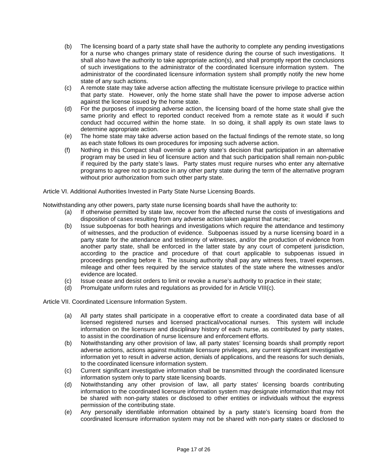- (b) The licensing board of a party state shall have the authority to complete any pending investigations for a nurse who changes primary state of residence during the course of such investigations. It shall also have the authority to take appropriate action(s), and shall promptly report the conclusions of such investigations to the administrator of the coordinated licensure information system. The administrator of the coordinated licensure information system shall promptly notify the new home state of any such actions.
- (c) A remote state may take adverse action affecting the multistate licensure privilege to practice within that party state. However, only the home state shall have the power to impose adverse action against the license issued by the home state.
- (d) For the purposes of imposing adverse action, the licensing board of the home state shall give the same priority and effect to reported conduct received from a remote state as it would if such conduct had occurred within the home state. In so doing, it shall apply its own state laws to determine appropriate action.
- (e) The home state may take adverse action based on the factual findings of the remote state, so long as each state follows its own procedures for imposing such adverse action.
- (f) Nothing in this Compact shall override a party state's decision that participation in an alternative program may be used in lieu of licensure action and that such participation shall remain non-public if required by the party state's laws. Party states must require nurses who enter any alternative programs to agree not to practice in any other party state during the term of the alternative program without prior authorization from such other party state.

Article VI. Additional Authorities Invested in Party State Nurse Licensing Boards.

Notwithstanding any other powers, party state nurse licensing boards shall have the authority to:

- (a) If otherwise permitted by state law, recover from the affected nurse the costs of investigations and disposition of cases resulting from any adverse action taken against that nurse;
- (b) Issue subpoenas for both hearings and investigations which require the attendance and testimony of witnesses, and the production of evidence. Subpoenas issued by a nurse licensing board in a party state for the attendance and testimony of witnesses, and/or the production of evidence from another party state, shall be enforced in the latter state by any court of competent jurisdiction, according to the practice and procedure of that court applicable to subpoenas issued in proceedings pending before it. The issuing authority shall pay any witness fees, travel expenses, mileage and other fees required by the service statutes of the state where the witnesses and/or evidence are located.
- (c) Issue cease and desist orders to limit or revoke a nurse's authority to practice in their state;
- (d) Promulgate uniform rules and regulations as provided for in Article VIII(c).

Article VII. Coordinated Licensure Information System.

- (a) All party states shall participate in a cooperative effort to create a coordinated data base of all licensed registered nurses and licensed practical/vocational nurses. This system will include information on the licensure and disciplinary history of each nurse, as contributed by party states, to assist in the coordination of nurse licensure and enforcement efforts.
- (b) Notwithstanding any other provision of law, all party states' licensing boards shall promptly report adverse actions, actions against multistate licensure privileges, any current significant investigative information yet to result in adverse action, denials of applications, and the reasons for such denials, to the coordinated licensure information system.
- (c) Current significant investigative information shall be transmitted through the coordinated licensure information system only to party state licensing boards.
- (d) Notwithstanding any other provision of law, all party states' licensing boards contributing information to the coordinated licensure information system may designate information that may not be shared with non-party states or disclosed to other entities or individuals without the express permission of the contributing state.
- (e) Any personally identifiable information obtained by a party state's licensing board from the coordinated licensure information system may not be shared with non-party states or disclosed to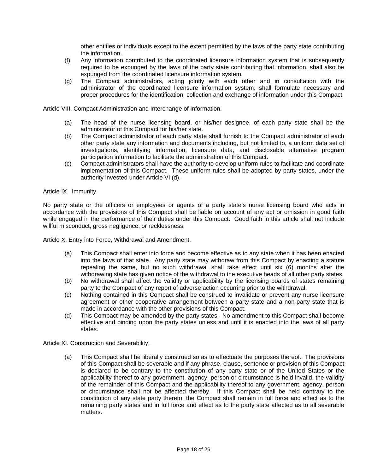other entities or individuals except to the extent permitted by the laws of the party state contributing the information.

- (f) Any information contributed to the coordinated licensure information system that is subsequently required to be expunged by the laws of the party state contributing that information, shall also be expunged from the coordinated licensure information system.
- (g) The Compact administrators, acting jointly with each other and in consultation with the administrator of the coordinated licensure information system, shall formulate necessary and proper procedures for the identification, collection and exchange of information under this Compact.

Article VIII. Compact Administration and Interchange of Information.

- (a) The head of the nurse licensing board, or his/her designee, of each party state shall be the administrator of this Compact for his/her state.
- (b) The Compact administrator of each party state shall furnish to the Compact administrator of each other party state any information and documents including, but not limited to, a uniform data set of investigations, identifying information, licensure data, and disclosable alternative program participation information to facilitate the administration of this Compact.
- (c) Compact administrators shall have the authority to develop uniform rules to facilitate and coordinate implementation of this Compact. These uniform rules shall be adopted by party states, under the authority invested under Article VI (d).

Article IX. Immunity.

No party state or the officers or employees or agents of a party state's nurse licensing board who acts in accordance with the provisions of this Compact shall be liable on account of any act or omission in good faith while engaged in the performance of their duties under this Compact. Good faith in this article shall not include willful misconduct, gross negligence, or recklessness.

Article X. Entry into Force, Withdrawal and Amendment.

- (a) This Compact shall enter into force and become effective as to any state when it has been enacted into the laws of that state. Any party state may withdraw from this Compact by enacting a statute repealing the same, but no such withdrawal shall take effect until six (6) months after the withdrawing state has given notice of the withdrawal to the executive heads of all other party states.
- (b) No withdrawal shall affect the validity or applicability by the licensing boards of states remaining party to the Compact of any report of adverse action occurring prior to the withdrawal.
- (c) Nothing contained in this Compact shall be construed to invalidate or prevent any nurse licensure agreement or other cooperative arrangement between a party state and a non-party state that is made in accordance with the other provisions of this Compact.
- (d) This Compact may be amended by the party states. No amendment to this Compact shall become effective and binding upon the party states unless and until it is enacted into the laws of all party states.

Article XI. Construction and Severability.

(a) This Compact shall be liberally construed so as to effectuate the purposes thereof. The provisions of this Compact shall be severable and if any phrase, clause, sentence or provision of this Compact is declared to be contrary to the constitution of any party state or of the United States or the applicability thereof to any government, agency, person or circumstance is held invalid, the validity of the remainder of this Compact and the applicability thereof to any government, agency, person or circumstance shall not be affected thereby. If this Compact shall be held contrary to the constitution of any state party thereto, the Compact shall remain in full force and effect as to the remaining party states and in full force and effect as to the party state affected as to all severable matters.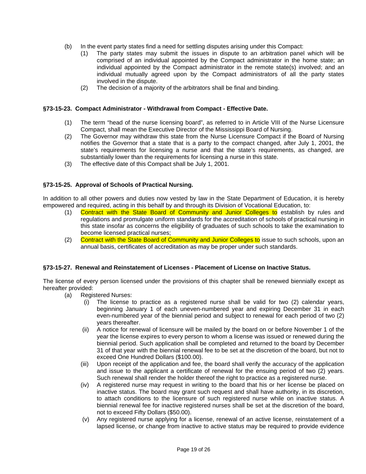- (b) In the event party states find a need for settling disputes arising under this Compact:
	- (1) The party states may submit the issues in dispute to an arbitration panel which will be comprised of an individual appointed by the Compact administrator in the home state; an individual appointed by the Compact administrator in the remote state(s) involved; and an individual mutually agreed upon by the Compact administrators of all the party states involved in the dispute.
	- (2) The decision of a majority of the arbitrators shall be final and binding.

### **§73-15-23. Compact Administrator - Withdrawal from Compact - Effective Date.**

- (1) The term "head of the nurse licensing board", as referred to in Article VIII of the Nurse Licensure Compact, shall mean the Executive Director of the Mississippi Board of Nursing.
- (2) The Governor may withdraw this state from the Nurse Licensure Compact if the Board of Nursing notifies the Governor that a state that is a party to the compact changed, after July 1, 2001, the state's requirements for licensing a nurse and that the state's requirements, as changed, are substantially lower than the requirements for licensing a nurse in this state.
- (3) The effective date of this Compact shall be July 1, 2001.

# **§73-15-25. Approval of Schools of Practical Nursing.**

In addition to all other powers and duties now vested by law in the State Department of Education, it is hereby empowered and required, acting in this behalf by and through its Division of Vocational Education, to:

- (1) Contract with the State Board of Community and Junior Colleges to establish by rules and regulations and promulgate uniform standards for the accreditation of schools of practical nursing in this state insofar as concerns the eligibility of graduates of such schools to take the examination to become licensed practical nurses;
- (2) Contract with the State Board of Community and Junior Colleges to issue to such schools, upon an annual basis, certificates of accreditation as may be proper under such standards.

### **§73-15-27. Renewal and Reinstatement of Licenses - Placement of License on Inactive Status.**

The license of every person licensed under the provisions of this chapter shall be renewed biennially except as hereafter provided:

- (a) Registered Nurses:
	- (i) The license to practice as a registered nurse shall be valid for two (2) calendar years, beginning January 1 of each uneven-numbered year and expiring December 31 in each even-numbered year of the biennial period and subject to renewal for each period of two (2) years thereafter.
	- (ii) A notice for renewal of licensure will be mailed by the board on or before November 1 of the year the license expires to every person to whom a license was issued or renewed during the biennial period. Such application shall be completed and returned to the board by December 31 of that year with the biennial renewal fee to be set at the discretion of the board, but not to exceed One Hundred Dollars (\$100.00).
	- (iii) Upon receipt of the application and fee, the board shall verify the accuracy of the application and issue to the applicant a certificate of renewal for the ensuing period of two (2) years. Such renewal shall render the holder thereof the right to practice as a registered nurse.
	- (iv) A registered nurse may request in writing to the board that his or her license be placed on inactive status. The board may grant such request and shall have authority, in its discretion, to attach conditions to the licensure of such registered nurse while on inactive status. A biennial renewal fee for inactive registered nurses shall be set at the discretion of the board, not to exceed Fifty Dollars (\$50.00).
	- (v) Any registered nurse applying for a license, renewal of an active license, reinstatement of a lapsed license, or change from inactive to active status may be required to provide evidence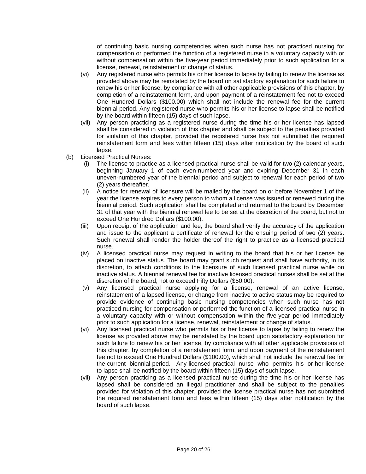of continuing basic nursing competencies when such nurse has not practiced nursing for compensation or performed the function of a registered nurse in a voluntary capacity with or without compensation within the five-year period immediately prior to such application for a license, renewal, reinstatement or change of status.

- (vi) Any registered nurse who permits his or her license to lapse by failing to renew the license as provided above may be reinstated by the board on satisfactory explanation for such failure to renew his or her license, by compliance with all other applicable provisions of this chapter, by completion of a reinstatement form, and upon payment of a reinstatement fee not to exceed One Hundred Dollars (\$100.00) which shall not include the renewal fee for the current biennial period. Any registered nurse who permits his or her license to lapse shall be notified by the board within fifteen (15) days of such lapse.
- (vii) Any person practicing as a registered nurse during the time his or her license has lapsed shall be considered in violation of this chapter and shall be subject to the penalties provided for violation of this chapter, provided the registered nurse has not submitted the required reinstatement form and fees within fifteen (15) days after notification by the board of such lapse.
- (b) Licensed Practical Nurses:
	- (i) The license to practice as a licensed practical nurse shall be valid for two (2) calendar years, beginning January 1 of each even-numbered year and expiring December 31 in each uneven-numbered year of the biennial period and subject to renewal for each period of two (2) years thereafter.
	- (ii) A notice for renewal of licensure will be mailed by the board on or before November 1 of the year the license expires to every person to whom a license was issued or renewed during the biennial period. Such application shall be completed and returned to the board by December 31 of that year with the biennial renewal fee to be set at the discretion of the board, but not to exceed One Hundred Dollars (\$100.00).
	- (iii) Upon receipt of the application and fee, the board shall verify the accuracy of the application and issue to the applicant a certificate of renewal for the ensuing period of two (2) years. Such renewal shall render the holder thereof the right to practice as a licensed practical nurse.
	- (iv) A licensed practical nurse may request in writing to the board that his or her license be placed on inactive status. The board may grant such request and shall have authority, in its discretion, to attach conditions to the licensure of such licensed practical nurse while on inactive status. A biennial renewal fee for inactive licensed practical nurses shall be set at the discretion of the board, not to exceed Fifty Dollars (\$50.00).
	- (v) Any licensed practical nurse applying for a license, renewal of an active license, reinstatement of a lapsed license, or change from inactive to active status may be required to provide evidence of continuing basic nursing competencies when such nurse has not practiced nursing for compensation or performed the function of a licensed practical nurse in a voluntary capacity with or without compensation within the five-year period immediately prior to such application for a license, renewal, reinstatement or change of status.
	- (vi) Any licensed practical nurse who permits his or her license to lapse by failing to renew the license as provided above may be reinstated by the board upon satisfactory explanation for such failure to renew his or her license, by compliance with all other applicable provisions of this chapter, by completion of a reinstatement form, and upon payment of the reinstatement fee not to exceed One Hundred Dollars (\$100.00), which shall not include the renewal fee for the current biennial period. Any licensed practical nurse who permits his or her license to lapse shall be notified by the board within fifteen (15) days of such lapse.
	- (vii) Any person practicing as a licensed practical nurse during the time his or her license has lapsed shall be considered an illegal practitioner and shall be subject to the penalties provided for violation of this chapter, provided the license practical nurse has not submitted the required reinstatement form and fees within fifteen (15) days after notification by the board of such lapse.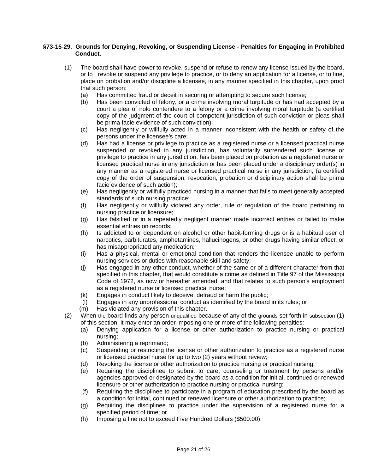### **§73-15-29. Grounds for Denying, Revoking, or Suspending License - Penalties for Engaging in Prohibited Conduct.**

- (1) The board shall have power to revoke, suspend or refuse to renew any license issued by the board, or to revoke or suspend any privilege to practice, or to deny an application for a license, or to fine, place on probation and/or discipline a licensee, in any manner specified in this chapter, upon proof that such person:
	- (a) Has committed fraud or deceit in securing or attempting to secure such license;
	- (b) Has been convicted of felony, or a crime involving moral turpitude or has had accepted by a court a plea of nolo contendere to a felony or a crime involving moral turpitude (a certified copy of the judgment of the court of competent jurisdiction of such conviction or pleas shall be prima facie evidence of such conviction);
	- (c) Has negligently or willfully acted in a manner inconsistent with the health or safety of the persons under the licensee's care;
	- (d) Has had a license or privilege to practice as a registered nurse or a licensed practical nurse suspended or revoked in any jurisdiction, has voluntarily surrendered such license or privilege to practice in any jurisdiction, has been placed on probation as a registered nurse or licensed practical nurse in any jurisdiction or has been placed under a disciplinary order(s) in any manner as a registered nurse or licensed practical nurse in any jurisdiction, (a certified copy of the order of suspension, revocation, probation or disciplinary action shall be prima facie evidence of such action);
	- (e) Has negligently or willfully practiced nursing in a manner that fails to meet generally accepted standards of such nursing practice;
	- (f) Has negligently or willfully violated any order, rule or regulation of the board pertaining to nursing practice or licensure;
	- (g) Has falsified or in a repeatedly negligent manner made incorrect entries or failed to make essential entries on records;
	- (h) Is addicted to or dependent on alcohol or other habit-forming drugs or is a habitual user of narcotics, barbiturates, amphetamines, hallucinogens, or other drugs having similar effect, or has misappropriated any medication;
	- (i) Has a physical, mental or emotional condition that renders the licensee unable to perform nursing services or duties with reasonable skill and safety;
	- (j) Has engaged in any other conduct, whether of the same or of a different character from that specified in this chapter, that would constitute a crime as defined in Title 97 of the Mississippi Code of 1972, as now or hereafter amended, and that relates to such person's employment as a registered nurse or licensed practical nurse;
	- (k) Engages in conduct likely to deceive, defraud or harm the public;
	- (l) Engages in any unprofessional conduct as identified by the board in its rules; or
	- (m) Has violated any provision of this chapter.
- (2) When the board finds any person unqualified because of any of the grounds set forth in subsection (1) of this section, it may enter an order imposing one or more of the following penalties:
	- (a) Denying application for a license or other authorization to practice nursing or practical nursing;
	- (b) Administering a reprimand;
	- (c) Suspending or restricting the license or other authorization to practice as a registered nurse or licensed practical nurse for up to two (2) years without review;
	- (d) Revoking the license or other authorization to practice nursing or practical nursing;
	- (e) Requiring the disciplinee to submit to care, counseling or treatment by persons and/or agencies approved or designated by the board as a condition for initial, continued or renewed licensure or other authorization to practice nursing or practical nursing;
	- (f) Requiring the disciplinee to participate in a program of education prescribed by the board as a condition for initial, continued or renewed licensure or other authorization to practice;
	- (g) Requiring the disciplinee to practice under the supervision of a registered nurse for a specified period of time; or
	- (h) Imposing a fine not to exceed Five Hundred Dollars (\$500.00).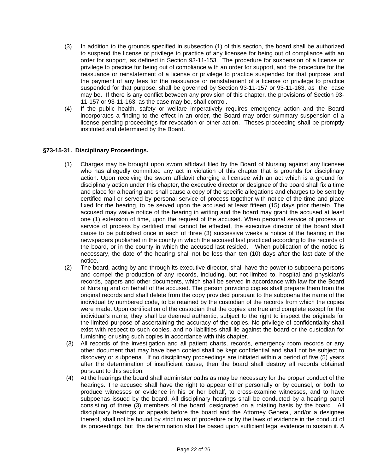- (3) In addition to the grounds specified in subsection (1) of this section, the board shall be authorized to suspend the license or privilege to practice of any licensee for being out of compliance with an order for support, as defined in Section 93-11-153. The procedure for suspension of a license or privilege to practice for being out of compliance with an order for support, and the procedure for the reissuance or reinstatement of a license or privilege to practice suspended for that purpose, and the payment of any fees for the reissuance or reinstatement of a license or privilege to practice suspended for that purpose, shall be governed by Section 93-11-157 or 93-11-163, as the case may be. If there is any conflict between any provision of this chapter, the provisions of Section 93- 11-157 or 93-11-163, as the case may be, shall control.
- (4) If the public health, safety or welfare imperatively requires emergency action and the Board incorporates a finding to the effect in an order, the Board may order summary suspension of a license pending proceedings for revocation or other action. Theses proceeding shall be promptly instituted and determined by the Board.

# **§73-15-31. Disciplinary Proceedings.**

- (1) Charges may be brought upon sworn affidavit filed by the Board of Nursing against any licensee who has allegedly committed any act in violation of this chapter that is grounds for disciplinary action. Upon receiving the sworn affidavit charging a licensee with an act which is a ground for disciplinary action under this chapter, the executive director or designee of the board shall fix a time and place for a hearing and shall cause a copy of the specific allegations and charges to be sent by certified mail or served by personal service of process together with notice of the time and place fixed for the hearing, to be served upon the accused at least fifteen (15) days prior thereto. The accused may waive notice of the hearing in writing and the board may grant the accused at least one (1) extension of time, upon the request of the accused. When personal service of process or service of process by certified mail cannot be effected, the executive director of the board shall cause to be published once in each of three (3) successive weeks a notice of the hearing in the newspapers published in the county in which the accused last practiced according to the records of the board, or in the county in which the accused last resided. When publication of the notice is necessary, the date of the hearing shall not be less than ten (10) days after the last date of the notice.
- (2) The board, acting by and through its executive director, shall have the power to subpoena persons and compel the production of any records, including, but not limited to, hospital and physician's records, papers and other documents, which shall be served in accordance with law for the Board of Nursing and on behalf of the accused. The person providing copies shall prepare them from the original records and shall delete from the copy provided pursuant to the subpoena the name of the individual by numbered code, to be retained by the custodian of the records from which the copies were made. Upon certification of the custodian that the copies are true and complete except for the individual's name, they shall be deemed authentic, subject to the right to inspect the originals for the limited purpose of ascertaining the accuracy of the copies. No privilege of confidentiality shall exist with respect to such copies, and no liabilities shall lie against the board or the custodian for furnishing or using such copies in accordance with this chapter.
- (3) All records of the investigation and all patient charts, records, emergency room records or any other document that may have been copied shall be kept confidential and shall not be subject to discovery or subpoena. If no disciplinary proceedings are initiated within a period of five (5) years after the determination of insufficient cause, then the board shall destroy all records obtained pursuant to this section.
- (4) At the hearings the board shall administer oaths as may be necessary for the proper conduct of the hearings. The accused shall have the right to appear either personally or by counsel, or both, to produce witnesses or evidence in his or her behalf, to cross-examine witnesses, and to have subpoenas issued by the board. All disciplinary hearings shall be conducted by a hearing panel consisting of three (3) members of the board, designated on a rotating basis by the board. All disciplinary hearings or appeals before the board and the Attorney General, and/or a designee thereof, shall not be bound by strict rules of procedure or by the laws of evidence in the conduct of its proceedings, but the determination shall be based upon sufficient legal evidence to sustain it. A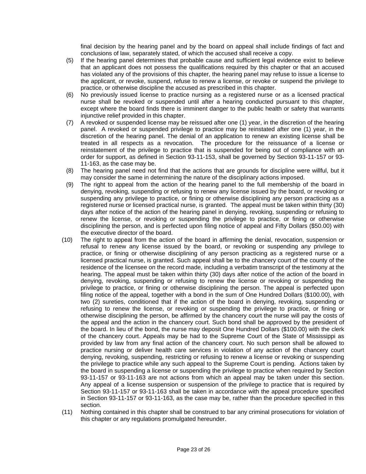final decision by the hearing panel and by the board on appeal shall include findings of fact and conclusions of law, separately stated, of which the accused shall receive a copy.

- (5) If the hearing panel determines that probable cause and sufficient legal evidence exist to believe that an applicant does not possess the qualifications required by this chapter or that an accused has violated any of the provisions of this chapter, the hearing panel may refuse to issue a license to the applicant, or revoke, suspend, refuse to renew a license, or revoke or suspend the privilege to practice, or otherwise discipline the accused as prescribed in this chapter.
- (6) No previously issued license to practice nursing as a registered nurse or as a licensed practical nurse shall be revoked or suspended until after a hearing conducted pursuant to this chapter, except where the board finds there is imminent danger to the public health or safety that warrants injunctive relief provided in this chapter.
- (7) A revoked or suspended license may be reissued after one (1) year, in the discretion of the hearing panel. A revoked or suspended privilege to practice may be reinstated after one (1) year, in the discretion of the hearing panel. The denial of an application to renew an existing license shall be treated in all respects as a revocation. The procedure for the reissuance of a license or reinstatement of the privilege to practice that is suspended for being out of compliance with an order for support, as defined in Section 93-11-153, shall be governed by Section 93-11-157 or 93- 11-163, as the case may be.
- (8) The hearing panel need not find that the actions that are grounds for discipline were willful, but it may consider the same in determining the nature of the disciplinary actions imposed.
- (9) The right to appeal from the action of the hearing panel to the full membership of the board in denying, revoking, suspending or refusing to renew any license issued by the board, or revoking or suspending any privilege to practice, or fining or otherwise disciplining any person practicing as a registered nurse or licensed practical nurse, is granted. The appeal must be taken within thirty (30) days after notice of the action of the hearing panel in denying, revoking, suspending or refusing to renew the license, or revoking or suspending the privilege to practice, or fining or otherwise disciplining the person, and is perfected upon filing notice of appeal and Fifty Dollars (\$50.00) with the executive director of the board.
- (10) The right to appeal from the action of the board in affirming the denial, revocation, suspension or refusal to renew any license issued by the board, or revoking or suspending any privilege to practice, or fining or otherwise disciplining of any person practicing as a registered nurse or a licensed practical nurse, is granted. Such appeal shall be to the chancery court of the county of the residence of the licensee on the record made, including a verbatim transcript of the testimony at the hearing. The appeal must be taken within thirty (30) days after notice of the action of the board in denying, revoking, suspending or refusing to renew the license or revoking or suspending the privilege to practice, or fining or otherwise disciplining the person. The appeal is perfected upon filing notice of the appeal, together with a bond in the sum of One Hundred Dollars (\$100.00), with two (2) sureties, conditioned that if the action of the board in denying, revoking, suspending or refusing to renew the license, or revoking or suspending the privilege to practice, or fining or otherwise disciplining the person, be affirmed by the chancery court the nurse will pay the costs of the appeal and the action in the chancery court. Such bond shall be approved by the president of the board. In lieu of the bond, the nurse may deposit One Hundred Dollars (\$100.00) with the clerk of the chancery court. Appeals may be had to the Supreme Court of the State of Mississippi as provided by law from any final action of the chancery court. No such person shall be allowed to practice nursing or deliver health care services in violation of any action of the chancery court denying, revoking, suspending, restricting or refusing to renew a license or revoking or suspending the privilege to practice while any such appeal to the Supreme Court is pending. Actions taken by the board in suspending a license or suspending the privilege to practice when required by Section 93-11-157 or 93-11-163 are not actions from which an appeal may be taken under this section. Any appeal of a license suspension or suspension of the privilege to practice that is required by Section 93-11-157 or 93-11-163 shall be taken in accordance with the appeal procedure specified in Section 93-11-157 or 93-11-163, as the case may be, rather than the procedure specified in this section.
- (11) Nothing contained in this chapter shall be construed to bar any criminal prosecutions for violation of this chapter or any regulations promulgated hereunder.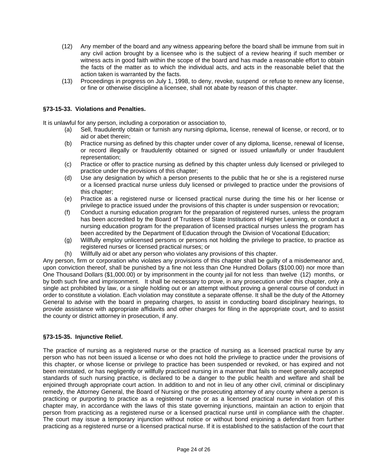- (12) Any member of the board and any witness appearing before the board shall be immune from suit in any civil action brought by a licensee who is the subject of a review hearing if such member or witness acts in good faith within the scope of the board and has made a reasonable effort to obtain the facts of the matter as to which the individual acts, and acts in the reasonable belief that the action taken is warranted by the facts.
- (13) Proceedings in progress on July 1, 1998, to deny, revoke, suspend or refuse to renew any license, or fine or otherwise discipline a licensee, shall not abate by reason of this chapter.

### **§73-15-33. Violations and Penalties.**

It is unlawful for any person, including a corporation or association to,

- (a) Sell, fraudulently obtain or furnish any nursing diploma, license, renewal of license, or record, or to aid or abet therein;
- (b) Practice nursing as defined by this chapter under cover of any diploma, license, renewal of license, or record illegally or fraudulently obtained or signed or issued unlawfully or under fraudulent representation;
- (c) Practice or offer to practice nursing as defined by this chapter unless duly licensed or privileged to practice under the provisions of this chapter;
- (d) Use any designation by which a person presents to the public that he or she is a registered nurse or a licensed practical nurse unless duly licensed or privileged to practice under the provisions of this chapter;
- (e) Practice as a registered nurse or licensed practical nurse during the time his or her license or privilege to practice issued under the provisions of this chapter is under suspension or revocation;
- (f) Conduct a nursing education program for the preparation of registered nurses, unless the program has been accredited by the Board of Trustees of State Institutions of Higher Learning, or conduct a nursing education program for the preparation of licensed practical nurses unless the program has been accredited by the Department of Education through the Division of Vocational Education;
- (g) Willfully employ unlicensed persons or persons not holding the privilege to practice, to practice as registered nurses or licensed practical nurses; or
- (h) Willfully aid or abet any person who violates any provisions of this chapter.

Any person, firm or corporation who violates any provisions of this chapter shall be guilty of a misdemeanor and, upon conviction thereof, shall be punished by a fine not less than One Hundred Dollars (\$100.00) nor more than One Thousand Dollars (\$1,000.00) or by imprisonment in the county jail for not less than twelve (12) months, or by both such fine and imprisonment. It shall be necessary to prove, in any prosecution under this chapter, only a single act prohibited by law, or a single holding out or an attempt without proving a general course of conduct in order to constitute a violation. Each violation may constitute a separate offense. It shall be the duty of the Attorney General to advise with the board in preparing charges, to assist in conducting board disciplinary hearings, to provide assistance with appropriate affidavits and other charges for filing in the appropriate court, and to assist the county or district attorney in prosecution, if any.

### **§73-15-35. Injunctive Relief.**

The practice of nursing as a registered nurse or the practice of nursing as a licensed practical nurse by any person who has not been issued a license or who does not hold the privilege to practice under the provisions of this chapter, or whose license or privilege to practice has been suspended or revoked, or has expired and not been reinstated, or has negligently or willfully practiced nursing in a manner that fails to meet generally accepted standards of such nursing practice, is declared to be a danger to the public health and welfare and shall be enjoined through appropriate court action. In addition to and not in lieu of any other civil, criminal or disciplinary remedy, the Attorney General, the Board of Nursing or the prosecuting attorney of any county where a person is practicing or purporting to practice as a registered nurse or as a licensed practical nurse in violation of this chapter may, in accordance with the laws of this state governing injunctions, maintain an action to enjoin that person from practicing as a registered nurse or a licensed practical nurse until in compliance with the chapter. The court may issue a temporary injunction without notice or without bond enjoining a defendant from further practicing as a registered nurse or a licensed practical nurse. If it is established to the satisfaction of the court that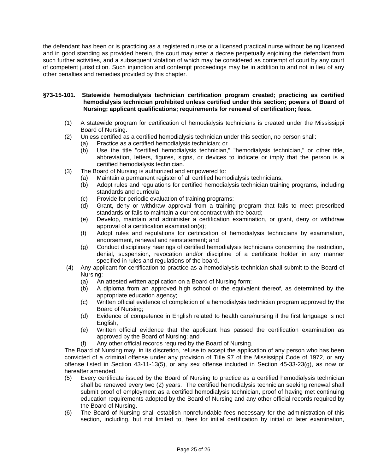the defendant has been or is practicing as a registered nurse or a licensed practical nurse without being licensed and in good standing as provided herein, the court may enter a decree perpetually enjoining the defendant from such further activities, and a subsequent violation of which may be considered as contempt of court by any court of competent jurisdiction. Such injunction and contempt proceedings may be in addition to and not in lieu of any other penalties and remedies provided by this chapter.

### **§73-15-101. Statewide hemodialysis technician certification program created; practicing as certified hemodialysis technician prohibited unless certified under this section; powers of Board of Nursing; applicant qualifications; requirements for renewal of certification; fees.**

- (1) A statewide program for certification of hemodialysis technicians is created under the Mississippi Board of Nursing.
- (2) Unless certified as a certified hemodialysis technician under this section, no person shall:
	- (a) Practice as a certified hemodialysis technician; or
		- (b) Use the title "certified hemodialysis technician," "hemodialysis technician," or other title, abbreviation, letters, figures, signs, or devices to indicate or imply that the person is a certified hemodialysis technician.
- (3) The Board of Nursing is authorized and empowered to:
	- (a) Maintain a permanent register of all certified hemodialysis technicians;
	- (b) Adopt rules and regulations for certified hemodialysis technician training programs, including standards and curricula;
	- (c) Provide for periodic evaluation of training programs;
	- (d) Grant, deny or withdraw approval from a training program that fails to meet prescribed standards or fails to maintain a current contract with the board;
	- (e) Develop, maintain and administer a certification examination, or grant, deny or withdraw approval of a certification examination(s);
	- (f) Adopt rules and regulations for certification of hemodialysis technicians by examination, endorsement, renewal and reinstatement; and
	- (g) Conduct disciplinary hearings of certified hemodialysis technicians concerning the restriction, denial, suspension, revocation and/or discipline of a certificate holder in any manner specified in rules and regulations of the board.
- (4) Any applicant for certification to practice as a hemodialysis technician shall submit to the Board of Nursing:
	- (a) An attested written application on a Board of Nursing form;
	- (b) A diploma from an approved high school or the equivalent thereof, as determined by the appropriate education agency;
	- (c) Written official evidence of completion of a hemodialysis technician program approved by the Board of Nursing;
	- (d) Evidence of competence in English related to health care/nursing if the first language is not English;
	- (e) Written official evidence that the applicant has passed the certification examination as approved by the Board of Nursing; and
	- (f) Any other official records required by the Board of Nursing.

The Board of Nursing may, in its discretion, refuse to accept the application of any person who has been convicted of a criminal offense under any provision of Title 97 of the Mississippi Code of 1972, or any offense listed in Section 43-11-13(5), or any sex offense included in Section 45-33-23(g), as now or hereafter amended.

- (5) Every certificate issued by the Board of Nursing to practice as a certified hemodialysis technician shall be renewed every two (2) years. The certified hemodialysis technician seeking renewal shall submit proof of employment as a certified hemodialysis technician, proof of having met continuing education requirements adopted by the Board of Nursing and any other official records required by the Board of Nursing.
- (6) The Board of Nursing shall establish nonrefundable fees necessary for the administration of this section, including, but not limited to, fees for initial certification by initial or later examination,